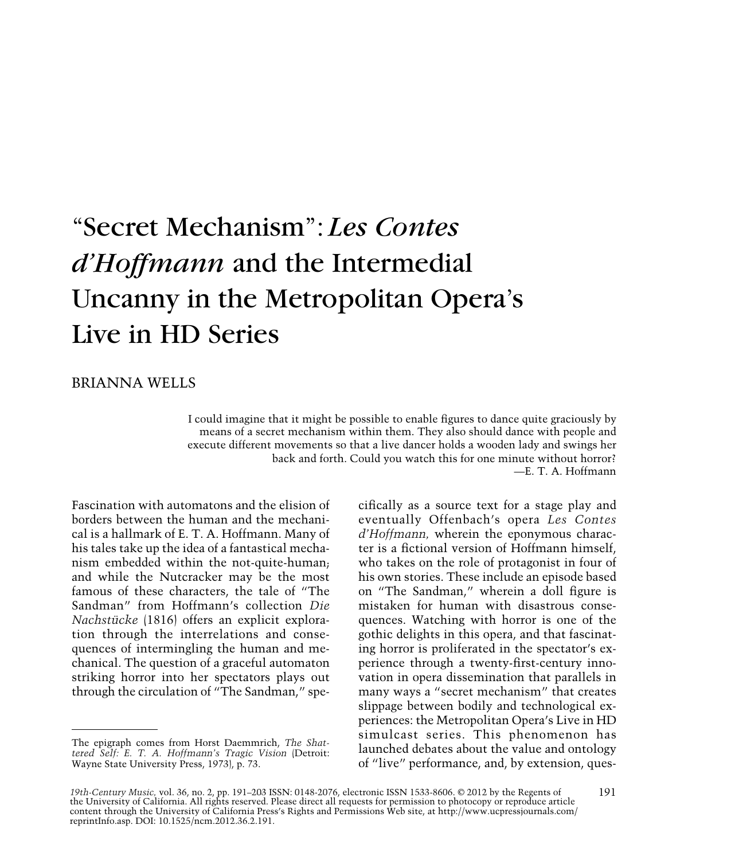# "Secret Mechanism": *Les Contes d'Hoffmann* and the Intermedial Uncanny in the Metropolitan Opera's Live in HD Series

# BRIANNA WELLS

I could imagine that it might be possible to enable figures to dance quite graciously by means of a secret mechanism within them. They also should dance with people and execute different movements so that a live dancer holds a wooden lady and swings her back and forth. Could you watch this for one minute without horror? —E. T. A. Hoffmann

Fascination with automatons and the elision of borders between the human and the mechanical is a hallmark of E. T. A. Hoffmann. Many of his tales take up the idea of a fantastical mechanism embedded within the not-quite-human; and while the Nutcracker may be the most famous of these characters, the tale of "The Sandman" from Hoffmann's collection *Die Nachstücke* (1816) offers an explicit exploration through the interrelations and consequences of intermingling the human and mechanical. The question of a graceful automaton striking horror into her spectators plays out through the circulation of "The Sandman," specifically as a source text for a stage play and eventually Offenbach's opera *Les Contes d'Hoffmann,* wherein the eponymous character is a fictional version of Hoffmann himself, who takes on the role of protagonist in four of his own stories. These include an episode based on "The Sandman," wherein a doll figure is mistaken for human with disastrous consequences. Watching with horror is one of the gothic delights in this opera, and that fascinating horror is proliferated in the spectator's experience through a twenty-first-century innovation in opera dissemination that parallels in many ways a "secret mechanism" that creates slippage between bodily and technological experiences: the Metropolitan Opera's Live in HD simulcast series. This phenomenon has launched debates about the value and ontology of "live" performance, and, by extension, ques-

The epigraph comes from Horst Daemmrich, *The Shattered Self: E. T. A. Hoffmann's Tragic Vision* (Detroit: Wayne State University Press, 1973), p. 73.

*<sup>19</sup>th-Century Music,* vol. 36, no. 2, pp. 191–203 ISSN: 0148-2076, electronic ISSN 1533-8606. © 2012 by the Regents of the University of California. All rights reserved. Please direct all requests for permission to photocopy or reproduce article content through the University of California Press's Rights and Permissions Web site, at http://www.ucpressjournals.com/ reprintInfo.asp. DOI: 10.1525/ncm.2012.36.2.191.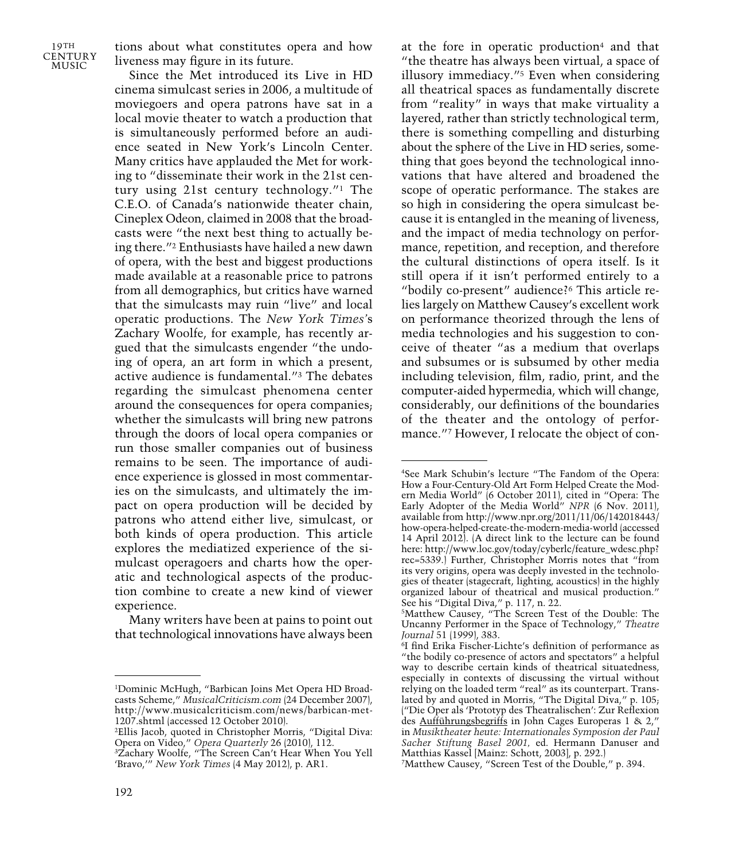tions about what constitutes opera and how liveness may figure in its future.

Since the Met introduced its Live in HD cinema simulcast series in 2006, a multitude of moviegoers and opera patrons have sat in a local movie theater to watch a production that is simultaneously performed before an audience seated in New York's Lincoln Center. Many critics have applauded the Met for working to "disseminate their work in the 21st century using 21st century technology."1 The C.E.O. of Canada's nationwide theater chain, Cineplex Odeon, claimed in 2008 that the broadcasts were "the next best thing to actually being there."2 Enthusiasts have hailed a new dawn of opera, with the best and biggest productions made available at a reasonable price to patrons from all demographics, but critics have warned that the simulcasts may ruin "live" and local operatic productions. The *New York Times'*s Zachary Woolfe, for example, has recently argued that the simulcasts engender "the undoing of opera, an art form in which a present, active audience is fundamental."3 The debates regarding the simulcast phenomena center around the consequences for opera companies; whether the simulcasts will bring new patrons through the doors of local opera companies or run those smaller companies out of business remains to be seen. The importance of audience experience is glossed in most commentaries on the simulcasts, and ultimately the impact on opera production will be decided by patrons who attend either live, simulcast, or both kinds of opera production. This article explores the mediatized experience of the simulcast operagoers and charts how the operatic and technological aspects of the production combine to create a new kind of viewer experience.

Many writers have been at pains to point out that technological innovations have always been

at the fore in operatic production4 and that "the theatre has always been virtual, a space of illusory immediacy."5 Even when considering all theatrical spaces as fundamentally discrete from "reality" in ways that make virtuality a layered, rather than strictly technological term, there is something compelling and disturbing about the sphere of the Live in HD series, something that goes beyond the technological innovations that have altered and broadened the scope of operatic performance. The stakes are so high in considering the opera simulcast because it is entangled in the meaning of liveness, and the impact of media technology on performance, repetition, and reception, and therefore the cultural distinctions of opera itself. Is it still opera if it isn't performed entirely to a "bodily co-present" audience?6 This article relies largely on Matthew Causey's excellent work on performance theorized through the lens of media technologies and his suggestion to conceive of theater "as a medium that overlaps and subsumes or is subsumed by other media including television, film, radio, print, and the computer-aided hypermedia, which will change, considerably, our definitions of the boundaries of the theater and the ontology of performance."7 However, I relocate the object of con-

<sup>1</sup>Dominic McHugh, "Barbican Joins Met Opera HD Broadcasts Scheme," *MusicalCriticism.com* (24 December 2007), http://www.musicalcriticism.com/news/barbican-met-1207.shtml (accessed 12 October 2010).

<sup>2</sup>Ellis Jacob, quoted in Christopher Morris, "Digital Diva: Opera on Video," *Opera Quarterly* 26 (2010), 112.

<sup>3</sup>Zachary Woolfe, "The Screen Can't Hear When You Yell 'Bravo,'" *New York Times* (4 May 2012), p. AR1.

<sup>4</sup>See Mark Schubin's lecture "The Fandom of the Opera: How a Four-Century-Old Art Form Helped Create the Modern Media World" (6 October 2011), cited in "Opera: The Early Adopter of the Media World" *NPR* (6 Nov. 2011), available from http://www.npr.org/2011/11/06/142018443/ how-opera-helped-create-the-modern-media-world (accessed 14 April 2012). (A direct link to the lecture can be found here: http://www.loc.gov/today/cyberlc/feature\_wdesc.php? rec=5339.) Further, Christopher Morris notes that "from its very origins, opera was deeply invested in the technologies of theater (stagecraft, lighting, acoustics) in the highly organized labour of theatrical and musical production." See his "Digital Diva," p. 117, n. 22.

<sup>5</sup>Matthew Causey, "The Screen Test of the Double: The Uncanny Performer in the Space of Technology," *Theatre Journal* 51 (1999), 383.

<sup>6</sup>I find Erika Fischer-Lichte's definition of performance as "the bodily co-presence of actors and spectators" a helpful way to describe certain kinds of theatrical situatedness, especially in contexts of discussing the virtual without relying on the loaded term "real" as its counterpart. Translated by and quoted in Morris, "The Digital Diva," p. 105; ("Die Oper als 'Prototyp des Theatralischen': Zur Reflexion des Aufführungsbegriffs in John Cages Europeras 1 & 2," in *Musiktheater heute: Internationales Symposion der Paul Sacher Stiftung Basel 2001,* ed. Hermann Danuser and Matthias Kassel [Mainz: Schott, 2003], p. 292.)

<sup>7</sup>Matthew Causey, "Screen Test of the Double," p. 394.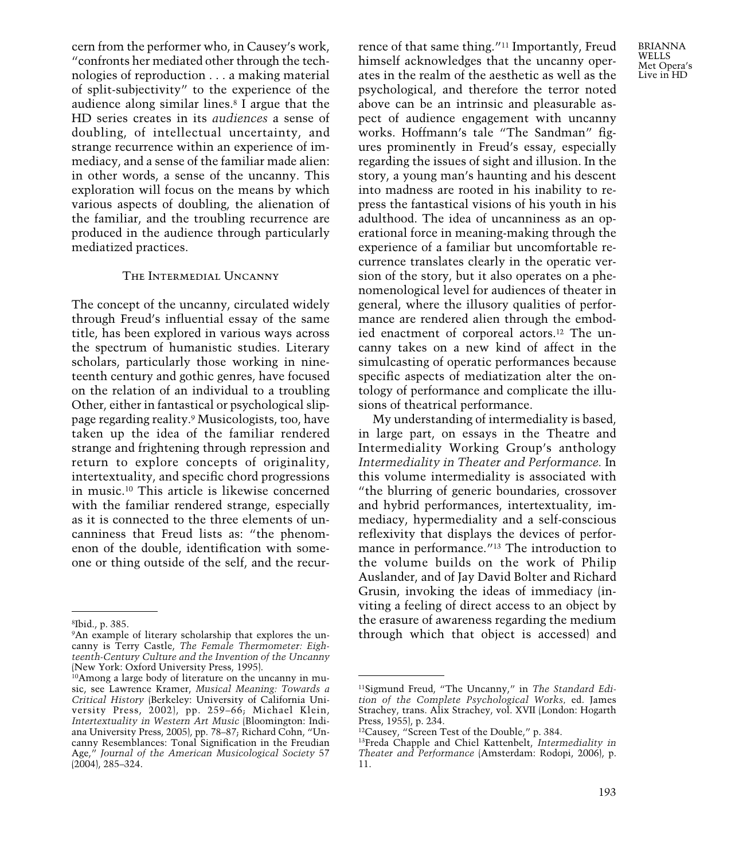cern from the performer who, in Causey's work, "confronts her mediated other through the technologies of reproduction . . . a making material of split-subjectivity" to the experience of the audience along similar lines.8 I argue that the HD series creates in its *audiences* a sense of doubling, of intellectual uncertainty, and strange recurrence within an experience of immediacy, and a sense of the familiar made alien: in other words, a sense of the uncanny. This exploration will focus on the means by which various aspects of doubling, the alienation of the familiar, and the troubling recurrence are produced in the audience through particularly mediatized practices.

# The Intermedial Uncanny

The concept of the uncanny, circulated widely through Freud's influential essay of the same title, has been explored in various ways across the spectrum of humanistic studies. Literary scholars, particularly those working in nineteenth century and gothic genres, have focused on the relation of an individual to a troubling Other, either in fantastical or psychological slippage regarding reality.9 Musicologists, too, have taken up the idea of the familiar rendered strange and frightening through repression and return to explore concepts of originality, intertextuality, and specific chord progressions in music.10 This article is likewise concerned with the familiar rendered strange, especially as it is connected to the three elements of uncanniness that Freud lists as: "the phenomenon of the double, identification with someone or thing outside of the self, and the recurrence of that same thing."11 Importantly, Freud himself acknowledges that the uncanny operates in the realm of the aesthetic as well as the psychological, and therefore the terror noted above can be an intrinsic and pleasurable aspect of audience engagement with uncanny works. Hoffmann's tale "The Sandman" figures prominently in Freud's essay, especially regarding the issues of sight and illusion. In the story, a young man's haunting and his descent into madness are rooted in his inability to repress the fantastical visions of his youth in his adulthood. The idea of uncanniness as an operational force in meaning-making through the experience of a familiar but uncomfortable recurrence translates clearly in the operatic version of the story, but it also operates on a phenomenological level for audiences of theater in general, where the illusory qualities of performance are rendered alien through the embodied enactment of corporeal actors.12 The uncanny takes on a new kind of affect in the simulcasting of operatic performances because specific aspects of mediatization alter the ontology of performance and complicate the illusions of theatrical performance.

My understanding of intermediality is based, in large part, on essays in the Theatre and Intermediality Working Group's anthology *Intermediality in Theater and Performance.* In this volume intermediality is associated with "the blurring of generic boundaries, crossover and hybrid performances, intertextuality, immediacy, hypermediality and a self-conscious reflexivity that displays the devices of performance in performance."13 The introduction to the volume builds on the work of Philip Auslander, and of Jay David Bolter and Richard Grusin, invoking the ideas of immediacy (inviting a feeling of direct access to an object by the erasure of awareness regarding the medium through which that object is accessed) and

BRIANNA **WELLS** Met Opera's Live in HD

<sup>8</sup>Ibid., p. 385.

<sup>9</sup>An example of literary scholarship that explores the uncanny is Terry Castle, *The Female Thermometer: Eighteenth-Century Culture and the Invention of the Uncanny* (New York: Oxford University Press, 1995).

<sup>10</sup>Among a large body of literature on the uncanny in music, see Lawrence Kramer, *Musical Meaning: Towards a Critical History* (Berkeley: University of California University Press, 2002), pp. 259–66; Michael Klein, *Intertextuality in Western Art Music* (Bloomington: Indiana University Press, 2005), pp. 78–87; Richard Cohn, "Uncanny Resemblances: Tonal Signification in the Freudian Age," *Journal of the American Musicological Society* 57 (2004), 285–324.

<sup>11</sup>Sigmund Freud, "The Uncanny," in *The Standard Edition of the Complete Psychological Works,* ed. James Strachey, trans. Alix Strachey, vol. XVII (London: Hogarth Press, 1955), p. 234.

<sup>12</sup>Causey, "Screen Test of the Double," p. 384.

<sup>13</sup>Freda Chapple and Chiel Kattenbelt, *Intermediality in Theater and Performance* (Amsterdam: Rodopi, 2006), p. 11.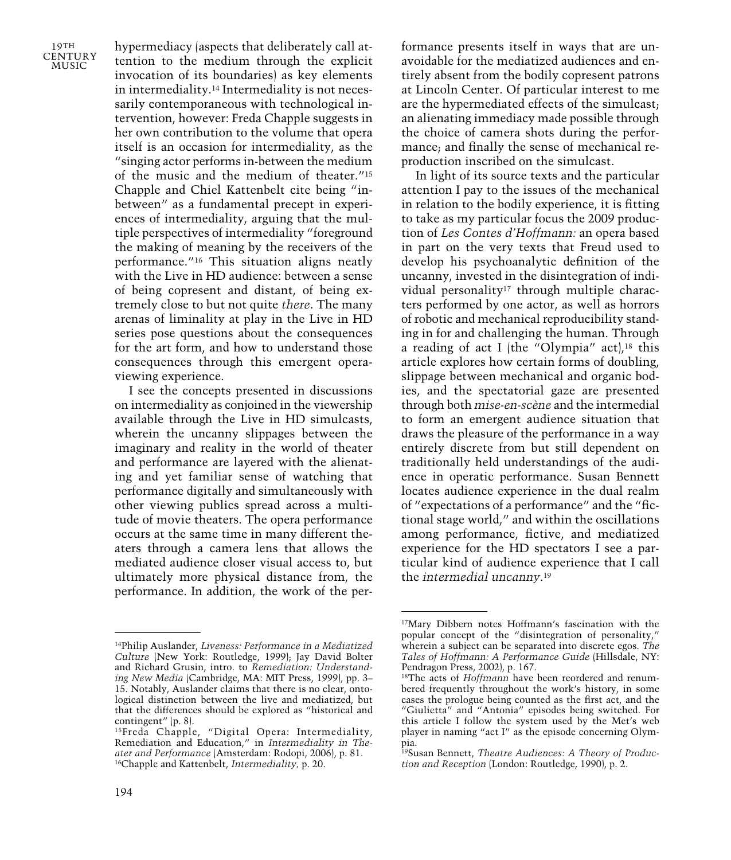hypermediacy (aspects that deliberately call attention to the medium through the explicit invocation of its boundaries) as key elements in intermediality.14 Intermediality is not necessarily contemporaneous with technological intervention, however: Freda Chapple suggests in her own contribution to the volume that opera itself is an occasion for intermediality, as the "singing actor performs in-between the medium of the music and the medium of theater."15 Chapple and Chiel Kattenbelt cite being "inbetween" as a fundamental precept in experiences of intermediality, arguing that the multiple perspectives of intermediality "foreground the making of meaning by the receivers of the performance."16 This situation aligns neatly with the Live in HD audience: between a sense of being copresent and distant, of being extremely close to but not quite *there*. The many arenas of liminality at play in the Live in HD series pose questions about the consequences for the art form, and how to understand those consequences through this emergent operaviewing experience.

I see the concepts presented in discussions on intermediality as conjoined in the viewership available through the Live in HD simulcasts, wherein the uncanny slippages between the imaginary and reality in the world of theater and performance are layered with the alienating and yet familiar sense of watching that performance digitally and simultaneously with other viewing publics spread across a multitude of movie theaters. The opera performance occurs at the same time in many different theaters through a camera lens that allows the mediated audience closer visual access to, but ultimately more physical distance from, the performance. In addition, the work of the performance presents itself in ways that are unavoidable for the mediatized audiences and entirely absent from the bodily copresent patrons at Lincoln Center. Of particular interest to me are the hypermediated effects of the simulcast; an alienating immediacy made possible through the choice of camera shots during the performance; and finally the sense of mechanical reproduction inscribed on the simulcast.

In light of its source texts and the particular attention I pay to the issues of the mechanical in relation to the bodily experience, it is fitting to take as my particular focus the 2009 production of *Les Contes d'Hoffmann:* an opera based in part on the very texts that Freud used to develop his psychoanalytic definition of the uncanny, invested in the disintegration of individual personality<sup>17</sup> through multiple characters performed by one actor, as well as horrors of robotic and mechanical reproducibility standing in for and challenging the human. Through a reading of act I (the "Olympia" act), $18$  this article explores how certain forms of doubling, slippage between mechanical and organic bodies, and the spectatorial gaze are presented through both *mise-en-scène* and the intermedial to form an emergent audience situation that draws the pleasure of the performance in a way entirely discrete from but still dependent on traditionally held understandings of the audience in operatic performance. Susan Bennett locates audience experience in the dual realm of "expectations of a performance" and the "fictional stage world," and within the oscillations among performance, fictive, and mediatized experience for the HD spectators I see a particular kind of audience experience that I call the *intermedial uncanny*. 19

<sup>14</sup>Philip Auslander, *Liveness: Performance in a Mediatized Culture* (New York: Routledge, 1999); Jay David Bolter and Richard Grusin, intro. to *Remediation: Understanding New Media* (Cambridge, MA: MIT Press, 1999), pp. 3– 15. Notably, Auslander claims that there is no clear, ontological distinction between the live and mediatized, but that the differences should be explored as "historical and contingent" (p. 8).

<sup>15</sup>Freda Chapple, "Digital Opera: Intermediality, Remediation and Education," in *Intermediality in Theater and Performance* (Amsterdam: Rodopi, 2006), p. 81. 16Chapple and Kattenbelt, *Intermediality,* p. 20.

<sup>17</sup>Mary Dibbern notes Hoffmann's fascination with the popular concept of the "disintegration of personality," wherein a subject can be separated into discrete egos. *The Tales of Hoffmann: A Performance Guide* (Hillsdale, NY: Pendragon Press, 2002), p. 167.

<sup>18</sup>The acts of *Hoffmann* have been reordered and renumbered frequently throughout the work's history, in some cases the prologue being counted as the first act, and the "Giulietta" and "Antonia" episodes being switched. For this article I follow the system used by the Met's web player in naming "act I" as the episode concerning Olympia.

<sup>19</sup>Susan Bennett, *Theatre Audiences: A Theory of Production and Reception* (London: Routledge, 1990), p. 2.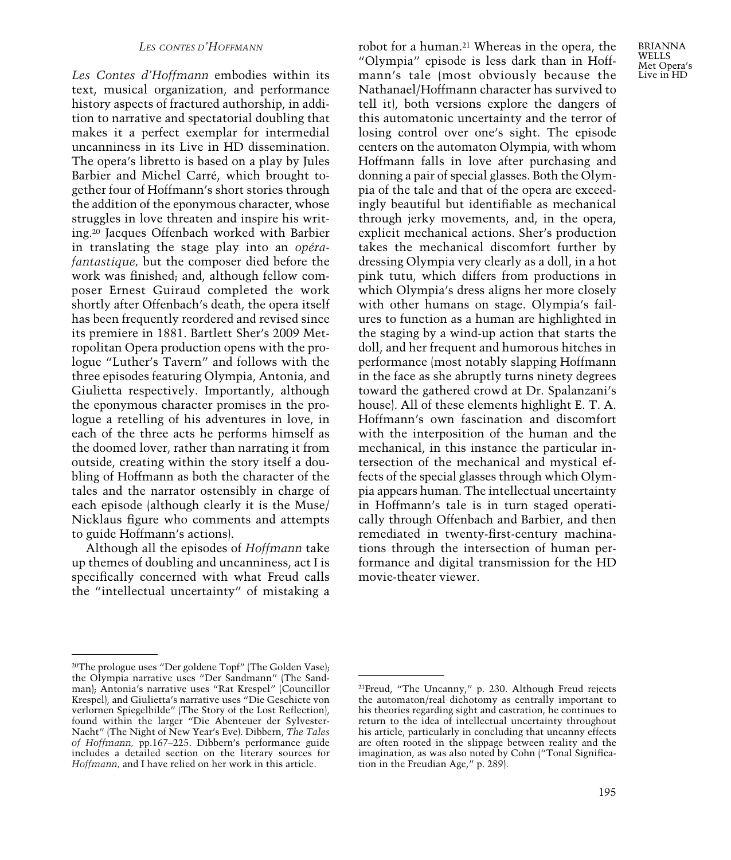#### *LES CONTES D'HOFFMANN*

*Les Contes d'Hoffmann* embodies within its text, musical organization, and performance history aspects of fractured authorship, in addition to narrative and spectatorial doubling that makes it a perfect exemplar for intermedial uncanniness in its Live in HD dissemination. The opera's libretto is based on a play by Jules Barbier and Michel Carré, which brought together four of Hoffmann's short stories through the addition of the eponymous character, whose struggles in love threaten and inspire his writing.20 Jacques Offenbach worked with Barbier in translating the stage play into an *opérafantastique,* but the composer died before the work was finished; and, although fellow composer Ernest Guiraud completed the work shortly after Offenbach's death, the opera itself has been frequently reordered and revised since its premiere in 1881. Bartlett Sher's 2009 Metropolitan Opera production opens with the prologue "Luther's Tavern" and follows with the three episodes featuring Olympia, Antonia, and Giulietta respectively. Importantly, although the eponymous character promises in the prologue a retelling of his adventures in love, in each of the three acts he performs himself as the doomed lover, rather than narrating it from outside, creating within the story itself a doubling of Hoffmann as both the character of the tales and the narrator ostensibly in charge of each episode (although clearly it is the Muse/ Nicklaus figure who comments and attempts to guide Hoffmann's actions).

Although all the episodes of *Hoffmann* take up themes of doubling and uncanniness, act I is specifically concerned with what Freud calls the "intellectual uncertainty" of mistaking a robot for a human.21 Whereas in the opera, the "Olympia" episode is less dark than in Hoffmann's tale (most obviously because the Nathanael/Hoffmann character has survived to tell it), both versions explore the dangers of this automatonic uncertainty and the terror of losing control over one's sight. The episode centers on the automaton Olympia, with whom Hoffmann falls in love after purchasing and donning a pair of special glasses. Both the Olympia of the tale and that of the opera are exceedingly beautiful but identifiable as mechanical through jerky movements, and, in the opera, explicit mechanical actions. Sher's production takes the mechanical discomfort further by dressing Olympia very clearly as a doll, in a hot pink tutu, which differs from productions in which Olympia's dress aligns her more closely with other humans on stage. Olympia's failures to function as a human are highlighted in the staging by a wind-up action that starts the doll, and her frequent and humorous hitches in performance (most notably slapping Hoffmann in the face as she abruptly turns ninety degrees toward the gathered crowd at Dr. Spalanzani's house). All of these elements highlight E. T. A. Hoffmann's own fascination and discomfort with the interposition of the human and the mechanical, in this instance the particular intersection of the mechanical and mystical effects of the special glasses through which Olympia appears human. The intellectual uncertainty in Hoffmann's tale is in turn staged operatically through Offenbach and Barbier, and then remediated in twenty-first-century machinations through the intersection of human performance and digital transmission for the HD movie-theater viewer.

<sup>20</sup>The prologue uses "Der goldene Topf" (The Golden Vase); the Olympia narrative uses "Der Sandmann" (The Sandman); Antonia's narrative uses "Rat Krespel" (Councillor Krespel), and Giulietta's narrative uses "Die Geschicte von verlornen Spiegelbilde" (The Story of the Lost Reflection), found within the larger "Die Abenteuer der Sylvester-Nacht" (The Night of New Year's Eve). Dibbern, *The Tales of Hoffmann,* pp.167–225. Dibbern's performance guide includes a detailed section on the literary sources for *Hoffmann,* and I have relied on her work in this article.

<sup>21</sup>Freud, "The Uncanny," p. 230. Although Freud rejects the automaton/real dichotomy as centrally important to his theories regarding sight and castration, he continues to return to the idea of intellectual uncertainty throughout his article, particularly in concluding that uncanny effects are often rooted in the slippage between reality and the imagination, as was also noted by Cohn ("Tonal Signification in the Freudian Age," p. 289).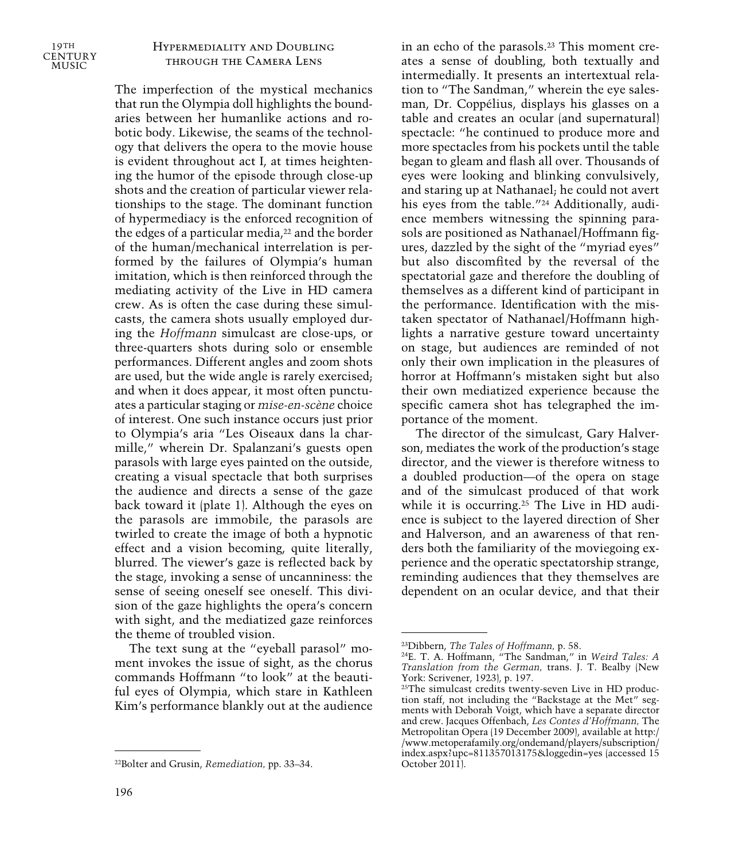

## Hypermediality and Doubling through the Camera Lens

The imperfection of the mystical mechanics that run the Olympia doll highlights the boundaries between her humanlike actions and robotic body. Likewise, the seams of the technology that delivers the opera to the movie house is evident throughout act I, at times heightening the humor of the episode through close-up shots and the creation of particular viewer relationships to the stage. The dominant function of hypermediacy is the enforced recognition of the edges of a particular media,<sup>22</sup> and the border of the human/mechanical interrelation is performed by the failures of Olympia's human imitation, which is then reinforced through the mediating activity of the Live in HD camera crew. As is often the case during these simulcasts, the camera shots usually employed during the *Hoffmann* simulcast are close-ups, or three-quarters shots during solo or ensemble performances. Different angles and zoom shots are used, but the wide angle is rarely exercised; and when it does appear, it most often punctuates a particular staging or *mise-en-scène* choice of interest. One such instance occurs just prior to Olympia's aria "Les Oiseaux dans la charmille," wherein Dr. Spalanzani's guests open parasols with large eyes painted on the outside, creating a visual spectacle that both surprises the audience and directs a sense of the gaze back toward it (plate 1). Although the eyes on the parasols are immobile, the parasols are twirled to create the image of both a hypnotic effect and a vision becoming, quite literally, blurred. The viewer's gaze is reflected back by the stage, invoking a sense of uncanniness: the sense of seeing oneself see oneself. This division of the gaze highlights the opera's concern with sight, and the mediatized gaze reinforces the theme of troubled vision.

The text sung at the "eyeball parasol" moment invokes the issue of sight, as the chorus commands Hoffmann "to look" at the beautiful eyes of Olympia, which stare in Kathleen Kim's performance blankly out at the audience in an echo of the parasols.23 This moment creates a sense of doubling, both textually and intermedially. It presents an intertextual relation to "The Sandman," wherein the eye salesman, Dr. Coppélius, displays his glasses on a table and creates an ocular (and supernatural) spectacle: "he continued to produce more and more spectacles from his pockets until the table began to gleam and flash all over. Thousands of eyes were looking and blinking convulsively, and staring up at Nathanael; he could not avert his eyes from the table."24 Additionally, audience members witnessing the spinning parasols are positioned as Nathanael/Hoffmann figures, dazzled by the sight of the "myriad eyes" but also discomfited by the reversal of the spectatorial gaze and therefore the doubling of themselves as a different kind of participant in the performance. Identification with the mistaken spectator of Nathanael/Hoffmann highlights a narrative gesture toward uncertainty on stage, but audiences are reminded of not only their own implication in the pleasures of horror at Hoffmann's mistaken sight but also their own mediatized experience because the specific camera shot has telegraphed the importance of the moment.

The director of the simulcast, Gary Halverson, mediates the work of the production's stage director, and the viewer is therefore witness to a doubled production—of the opera on stage and of the simulcast produced of that work while it is occurring.25 The Live in HD audience is subject to the layered direction of Sher and Halverson, and an awareness of that renders both the familiarity of the moviegoing experience and the operatic spectatorship strange, reminding audiences that they themselves are dependent on an ocular device, and that their

<sup>22</sup>Bolter and Grusin, *Remediation,* pp. 33–34.

<sup>23</sup>Dibbern, *The Tales of Hoffmann,* p. 58.

<sup>24</sup>E. T. A. Hoffmann, "The Sandman," in *Weird Tales: A Translation from the German,* trans. J. T. Bealby (New York: Scrivener, 1923), p. 197.

<sup>25</sup>The simulcast credits twenty-seven Live in HD production staff, not including the "Backstage at the Met" segments with Deborah Voigt, which have a separate director and crew. Jacques Offenbach, *Les Contes d'Hoffmann,* The Metropolitan Opera (19 December 2009), available at http:/ /www.metoperafamily.org/ondemand/players/subscription/ index.aspx?upc=811357013175&loggedin=yes (accessed 15 October 2011).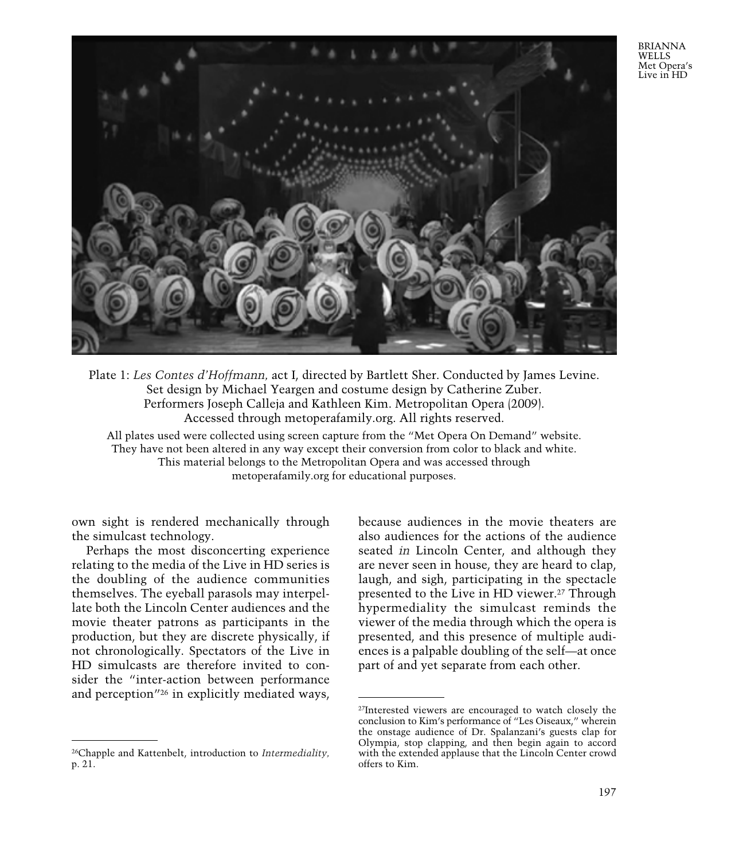BRIANNA WELLS Met Opera's Live in HD



Plate 1: *Les Contes d'Hoffmann,* act I, directed by Bartlett Sher. Conducted by James Levine. Set design by Michael Yeargen and costume design by Catherine Zuber. Performers Joseph Calleja and Kathleen Kim. Metropolitan Opera (2009). Accessed through metoperafamily.org. All rights reserved.

All plates used were collected using screen capture from the "Met Opera On Demand" website. They have not been altered in any way except their conversion from color to black and white. This material belongs to the Metropolitan Opera and was accessed through metoperafamily.org for educational purposes.

own sight is rendered mechanically through the simulcast technology.

Perhaps the most disconcerting experience relating to the media of the Live in HD series is the doubling of the audience communities themselves. The eyeball parasols may interpellate both the Lincoln Center audiences and the movie theater patrons as participants in the production, but they are discrete physically, if not chronologically. Spectators of the Live in HD simulcasts are therefore invited to consider the "inter-action between performance and perception"26 in explicitly mediated ways,

because audiences in the movie theaters are also audiences for the actions of the audience seated *in* Lincoln Center, and although they are never seen in house, they are heard to clap, laugh, and sigh, participating in the spectacle presented to the Live in HD viewer.27 Through hypermediality the simulcast reminds the viewer of the media through which the opera is presented, and this presence of multiple audiences is a palpable doubling of the self—at once part of and yet separate from each other.

<sup>26</sup>Chapple and Kattenbelt, introduction to *Intermediality,* p. 21.

<sup>27</sup>Interested viewers are encouraged to watch closely the conclusion to Kim's performance of "Les Oiseaux," wherein the onstage audience of Dr. Spalanzani's guests clap for Olympia, stop clapping, and then begin again to accord with the extended applause that the Lincoln Center crowd offers to Kim.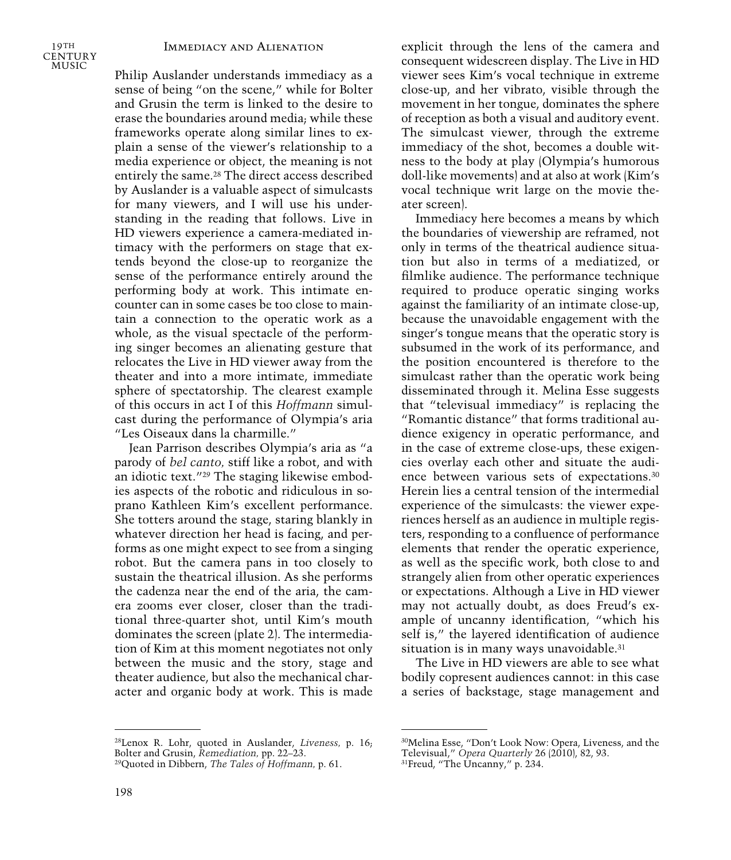#### Immediacy and Alienation

19TH **CENTURY** MUSIC

Philip Auslander understands immediacy as a sense of being "on the scene," while for Bolter and Grusin the term is linked to the desire to erase the boundaries around media; while these frameworks operate along similar lines to explain a sense of the viewer's relationship to a media experience or object, the meaning is not entirely the same.28 The direct access described by Auslander is a valuable aspect of simulcasts for many viewers, and I will use his understanding in the reading that follows. Live in HD viewers experience a camera-mediated intimacy with the performers on stage that extends beyond the close-up to reorganize the sense of the performance entirely around the performing body at work. This intimate encounter can in some cases be too close to maintain a connection to the operatic work as a whole, as the visual spectacle of the performing singer becomes an alienating gesture that relocates the Live in HD viewer away from the theater and into a more intimate, immediate sphere of spectatorship. The clearest example of this occurs in act I of this *Hoffmann* simulcast during the performance of Olympia's aria "Les Oiseaux dans la charmille."

Jean Parrison describes Olympia's aria as "a parody of *bel canto,* stiff like a robot, and with an idiotic text."29 The staging likewise embodies aspects of the robotic and ridiculous in soprano Kathleen Kim's excellent performance. She totters around the stage, staring blankly in whatever direction her head is facing, and performs as one might expect to see from a singing robot. But the camera pans in too closely to sustain the theatrical illusion. As she performs the cadenza near the end of the aria, the camera zooms ever closer, closer than the traditional three-quarter shot, until Kim's mouth dominates the screen (plate 2). The intermediation of Kim at this moment negotiates not only between the music and the story, stage and theater audience, but also the mechanical character and organic body at work. This is made

28Lenox R. Lohr, quoted in Auslander, *Liveness,* p. 16; Bolter and Grusin, *Remediation,* pp. 22–23.

explicit through the lens of the camera and consequent widescreen display. The Live in HD viewer sees Kim's vocal technique in extreme close-up, and her vibrato, visible through the movement in her tongue, dominates the sphere of reception as both a visual and auditory event. The simulcast viewer, through the extreme immediacy of the shot, becomes a double witness to the body at play (Olympia's humorous doll-like movements) and at also at work (Kim's vocal technique writ large on the movie theater screen).

Immediacy here becomes a means by which the boundaries of viewership are reframed, not only in terms of the theatrical audience situation but also in terms of a mediatized, or filmlike audience. The performance technique required to produce operatic singing works against the familiarity of an intimate close-up, because the unavoidable engagement with the singer's tongue means that the operatic story is subsumed in the work of its performance, and the position encountered is therefore to the simulcast rather than the operatic work being disseminated through it. Melina Esse suggests that "televisual immediacy" is replacing the "Romantic distance" that forms traditional audience exigency in operatic performance, and in the case of extreme close-ups, these exigencies overlay each other and situate the audience between various sets of expectations.30 Herein lies a central tension of the intermedial experience of the simulcasts: the viewer experiences herself as an audience in multiple registers, responding to a confluence of performance elements that render the operatic experience, as well as the specific work, both close to and strangely alien from other operatic experiences or expectations. Although a Live in HD viewer may not actually doubt, as does Freud's example of uncanny identification, "which his self is," the layered identification of audience situation is in many ways unavoidable.<sup>31</sup>

The Live in HD viewers are able to see what bodily copresent audiences cannot: in this case a series of backstage, stage management and

<sup>29</sup>Quoted in Dibbern, *The Tales of Hoffmann,* p. 61.

<sup>30</sup>Melina Esse, "Don't Look Now: Opera, Liveness, and the Televisual," *Opera Quarterly* 26 (2010), 82, 93.

<sup>31</sup>Freud, "The Uncanny," p. 234.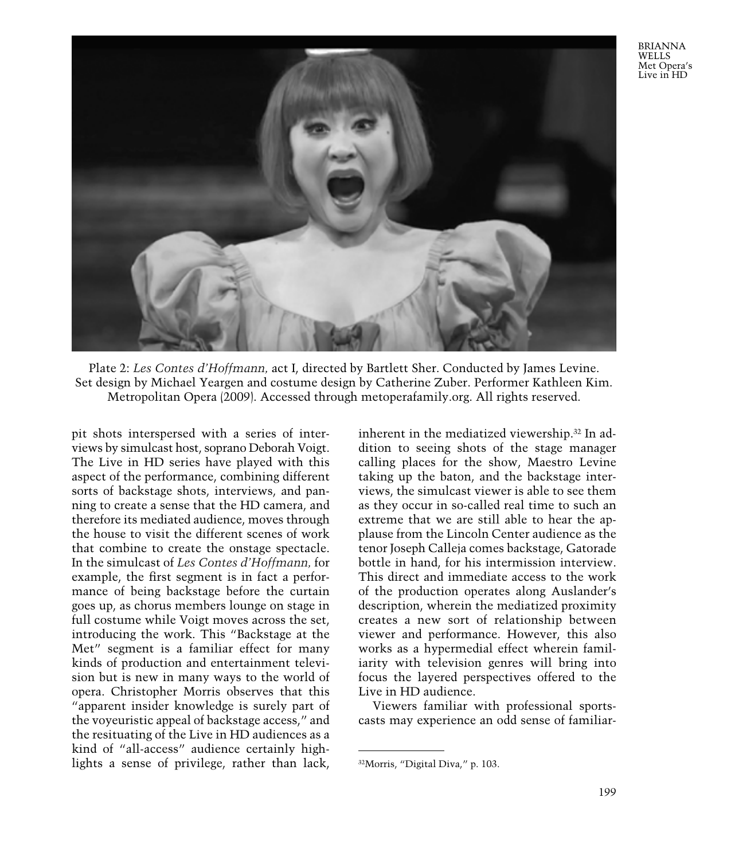BRIANNA **WELLS** Met Opera's Live in HD



Plate 2: *Les Contes d'Hoffmann,* act I, directed by Bartlett Sher. Conducted by James Levine. Set design by Michael Yeargen and costume design by Catherine Zuber. Performer Kathleen Kim. Metropolitan Opera (2009). Accessed through metoperafamily.org. All rights reserved.

pit shots interspersed with a series of interviews by simulcast host, soprano Deborah Voigt. The Live in HD series have played with this aspect of the performance, combining different sorts of backstage shots, interviews, and panning to create a sense that the HD camera, and therefore its mediated audience, moves through the house to visit the different scenes of work that combine to create the onstage spectacle. In the simulcast of *Les Contes d'Hoffmann,* for example, the first segment is in fact a performance of being backstage before the curtain goes up, as chorus members lounge on stage in full costume while Voigt moves across the set, introducing the work. This "Backstage at the Met" segment is a familiar effect for many kinds of production and entertainment television but is new in many ways to the world of opera. Christopher Morris observes that this "apparent insider knowledge is surely part of the voyeuristic appeal of backstage access," and the resituating of the Live in HD audiences as a kind of "all-access" audience certainly highlights a sense of privilege, rather than lack,

inherent in the mediatized viewership.32 In addition to seeing shots of the stage manager calling places for the show, Maestro Levine taking up the baton, and the backstage interviews, the simulcast viewer is able to see them as they occur in so-called real time to such an extreme that we are still able to hear the applause from the Lincoln Center audience as the tenor Joseph Calleja comes backstage, Gatorade bottle in hand, for his intermission interview. This direct and immediate access to the work of the production operates along Auslander's description, wherein the mediatized proximity creates a new sort of relationship between viewer and performance. However, this also works as a hypermedial effect wherein familiarity with television genres will bring into focus the layered perspectives offered to the Live in HD audience.

Viewers familiar with professional sportscasts may experience an odd sense of familiar-

<sup>32</sup>Morris, "Digital Diva," p. 103.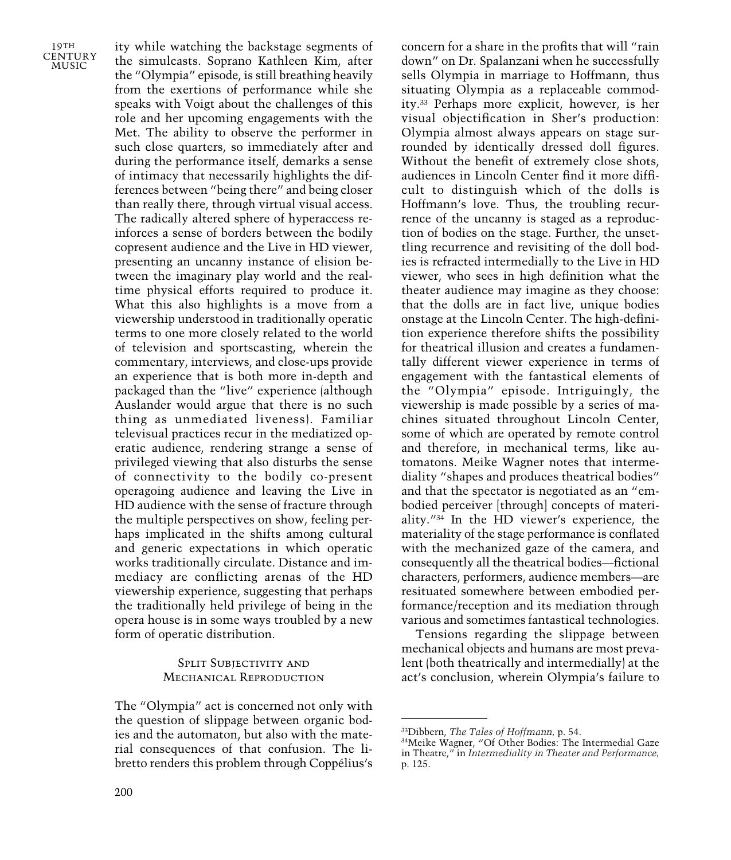ity while watching the backstage segments of the simulcasts. Soprano Kathleen Kim, after the "Olympia" episode, is still breathing heavily from the exertions of performance while she speaks with Voigt about the challenges of this role and her upcoming engagements with the Met. The ability to observe the performer in such close quarters, so immediately after and during the performance itself, demarks a sense of intimacy that necessarily highlights the differences between "being there" and being closer than really there, through virtual visual access. The radically altered sphere of hyperaccess reinforces a sense of borders between the bodily copresent audience and the Live in HD viewer, presenting an uncanny instance of elision between the imaginary play world and the realtime physical efforts required to produce it. What this also highlights is a move from a viewership understood in traditionally operatic terms to one more closely related to the world of television and sportscasting, wherein the commentary, interviews, and close-ups provide an experience that is both more in-depth and packaged than the "live" experience (although Auslander would argue that there is no such thing as unmediated liveness). Familiar televisual practices recur in the mediatized operatic audience, rendering strange a sense of privileged viewing that also disturbs the sense of connectivity to the bodily co-present operagoing audience and leaving the Live in HD audience with the sense of fracture through the multiple perspectives on show, feeling perhaps implicated in the shifts among cultural and generic expectations in which operatic works traditionally circulate. Distance and immediacy are conflicting arenas of the HD viewership experience, suggesting that perhaps the traditionally held privilege of being in the opera house is in some ways troubled by a new form of operatic distribution.

## Split Subjectivity and Mechanical Reproduction

The "Olympia" act is concerned not only with the question of slippage between organic bodies and the automaton, but also with the material consequences of that confusion. The libretto renders this problem through Coppélius's

concern for a share in the profits that will "rain down" on Dr. Spalanzani when he successfully sells Olympia in marriage to Hoffmann, thus situating Olympia as a replaceable commodity.33 Perhaps more explicit, however, is her visual objectification in Sher's production: Olympia almost always appears on stage surrounded by identically dressed doll figures. Without the benefit of extremely close shots, audiences in Lincoln Center find it more difficult to distinguish which of the dolls is Hoffmann's love. Thus, the troubling recurrence of the uncanny is staged as a reproduction of bodies on the stage. Further, the unsettling recurrence and revisiting of the doll bodies is refracted intermedially to the Live in HD viewer, who sees in high definition what the theater audience may imagine as they choose: that the dolls are in fact live, unique bodies onstage at the Lincoln Center. The high-definition experience therefore shifts the possibility for theatrical illusion and creates a fundamentally different viewer experience in terms of engagement with the fantastical elements of the "Olympia" episode. Intriguingly, the viewership is made possible by a series of machines situated throughout Lincoln Center, some of which are operated by remote control and therefore, in mechanical terms, like automatons. Meike Wagner notes that intermediality "shapes and produces theatrical bodies" and that the spectator is negotiated as an "embodied perceiver [through] concepts of materiality."34 In the HD viewer's experience, the materiality of the stage performance is conflated with the mechanized gaze of the camera, and consequently all the theatrical bodies—fictional characters, performers, audience members—are resituated somewhere between embodied performance/reception and its mediation through various and sometimes fantastical technologies.

Tensions regarding the slippage between mechanical objects and humans are most prevalent (both theatrically and intermedially) at the act's conclusion, wherein Olympia's failure to

<sup>33</sup>Dibbern, *The Tales of Hoffmann,* p. 54.

<sup>34</sup>Meike Wagner, "Of Other Bodies: The Intermedial Gaze in Theatre," in *Intermediality in Theater and Performance,* p. 125.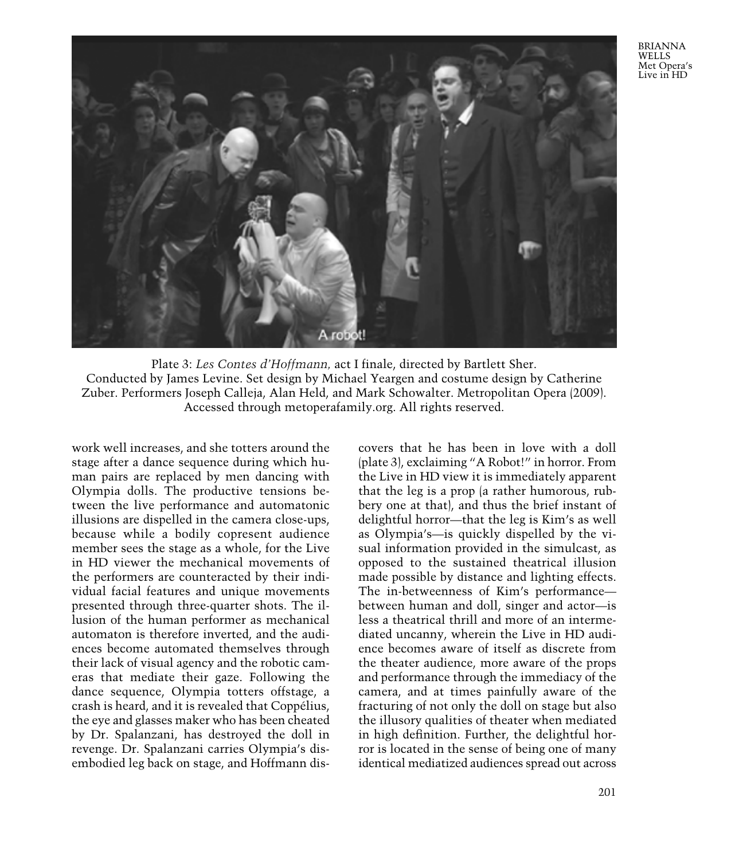BRIANNA **WELLS** Met Opera's Live in HD



Plate 3: *Les Contes d'Hoffmann,* act I finale, directed by Bartlett Sher. Conducted by James Levine. Set design by Michael Yeargen and costume design by Catherine Zuber. Performers Joseph Calleja, Alan Held, and Mark Schowalter. Metropolitan Opera (2009). Accessed through metoperafamily.org. All rights reserved.

work well increases, and she totters around the stage after a dance sequence during which human pairs are replaced by men dancing with Olympia dolls. The productive tensions between the live performance and automatonic illusions are dispelled in the camera close-ups, because while a bodily copresent audience member sees the stage as a whole, for the Live in HD viewer the mechanical movements of the performers are counteracted by their individual facial features and unique movements presented through three-quarter shots. The illusion of the human performer as mechanical automaton is therefore inverted, and the audiences become automated themselves through their lack of visual agency and the robotic cameras that mediate their gaze. Following the dance sequence, Olympia totters offstage, a crash is heard, and it is revealed that Coppélius, the eye and glasses maker who has been cheated by Dr. Spalanzani, has destroyed the doll in revenge. Dr. Spalanzani carries Olympia's disembodied leg back on stage, and Hoffmann discovers that he has been in love with a doll (plate 3), exclaiming "A Robot!" in horror. From the Live in HD view it is immediately apparent that the leg is a prop (a rather humorous, rubbery one at that), and thus the brief instant of delightful horror—that the leg is Kim's as well as Olympia's—is quickly dispelled by the visual information provided in the simulcast, as opposed to the sustained theatrical illusion made possible by distance and lighting effects. The in-betweenness of Kim's performance between human and doll, singer and actor—is less a theatrical thrill and more of an intermediated uncanny, wherein the Live in HD audience becomes aware of itself as discrete from the theater audience, more aware of the props and performance through the immediacy of the camera, and at times painfully aware of the fracturing of not only the doll on stage but also the illusory qualities of theater when mediated in high definition. Further, the delightful horror is located in the sense of being one of many identical mediatized audiences spread out across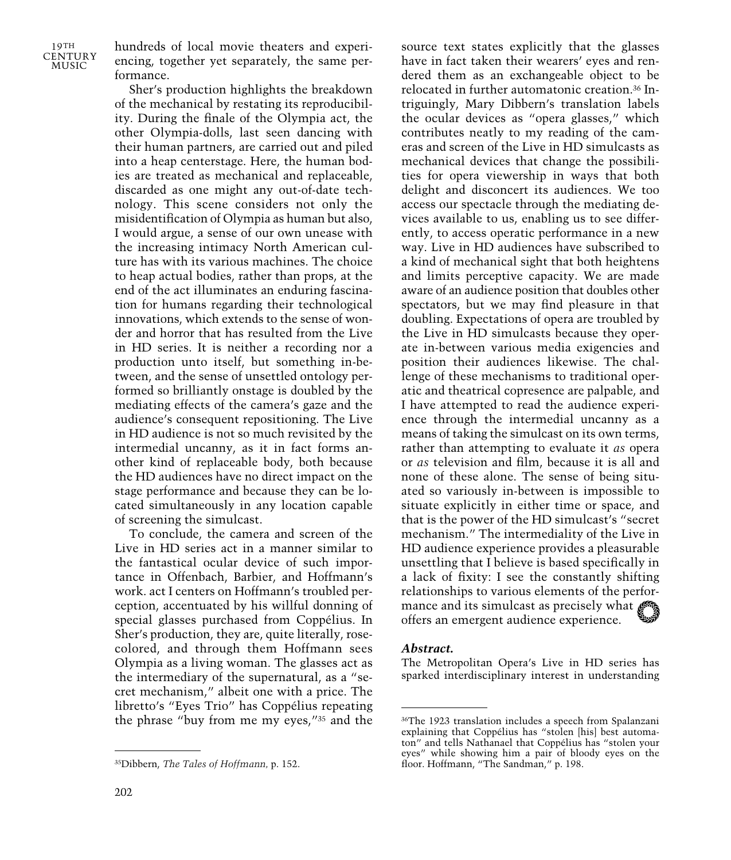hundreds of local movie theaters and experiencing, together yet separately, the same performance.

Sher's production highlights the breakdown of the mechanical by restating its reproducibility. During the finale of the Olympia act, the other Olympia-dolls, last seen dancing with their human partners, are carried out and piled into a heap centerstage. Here, the human bodies are treated as mechanical and replaceable, discarded as one might any out-of-date technology. This scene considers not only the misidentification of Olympia as human but also, I would argue, a sense of our own unease with the increasing intimacy North American culture has with its various machines. The choice to heap actual bodies, rather than props, at the end of the act illuminates an enduring fascination for humans regarding their technological innovations, which extends to the sense of wonder and horror that has resulted from the Live in HD series. It is neither a recording nor a production unto itself, but something in-between, and the sense of unsettled ontology performed so brilliantly onstage is doubled by the mediating effects of the camera's gaze and the audience's consequent repositioning. The Live in HD audience is not so much revisited by the intermedial uncanny, as it in fact forms another kind of replaceable body, both because the HD audiences have no direct impact on the stage performance and because they can be located simultaneously in any location capable of screening the simulcast.

To conclude, the camera and screen of the Live in HD series act in a manner similar to the fantastical ocular device of such importance in Offenbach, Barbier, and Hoffmann's work. act I centers on Hoffmann's troubled perception, accentuated by his willful donning of special glasses purchased from Coppélius. In Sher's production, they are, quite literally, rosecolored, and through them Hoffmann sees Olympia as a living woman. The glasses act as the intermediary of the supernatural, as a "secret mechanism," albeit one with a price. The libretto's "Eyes Trio" has Coppélius repeating the phrase "buy from me my eyes,"35 and the

source text states explicitly that the glasses have in fact taken their wearers' eyes and rendered them as an exchangeable object to be relocated in further automatonic creation.36 Intriguingly, Mary Dibbern's translation labels the ocular devices as "opera glasses," which contributes neatly to my reading of the cameras and screen of the Live in HD simulcasts as mechanical devices that change the possibilities for opera viewership in ways that both delight and disconcert its audiences. We too access our spectacle through the mediating devices available to us, enabling us to see differently, to access operatic performance in a new way. Live in HD audiences have subscribed to a kind of mechanical sight that both heightens and limits perceptive capacity. We are made aware of an audience position that doubles other spectators, but we may find pleasure in that doubling. Expectations of opera are troubled by the Live in HD simulcasts because they operate in-between various media exigencies and position their audiences likewise. The challenge of these mechanisms to traditional operatic and theatrical copresence are palpable, and I have attempted to read the audience experience through the intermedial uncanny as a means of taking the simulcast on its own terms, rather than attempting to evaluate it *as* opera or *as* television and film, because it is all and none of these alone. The sense of being situated so variously in-between is impossible to situate explicitly in either time or space, and that is the power of the HD simulcast's "secret mechanism." The intermediality of the Live in HD audience experience provides a pleasurable unsettling that I believe is based specifically in a lack of fixity: I see the constantly shifting relationships to various elements of the performance and its simulcast as precisely what offers an emergent audience experience.

#### *Abstract.*

The Metropolitan Opera's Live in HD series has sparked interdisciplinary interest in understanding

<sup>35</sup>Dibbern, *The Tales of Hoffmann,* p. 152.

<sup>36</sup>The 1923 translation includes a speech from Spalanzani explaining that Coppélius has "stolen [his] best automaton" and tells Nathanael that Coppélius has "stolen your eyes" while showing him a pair of bloody eyes on the floor. Hoffmann, "The Sandman," p. 198.